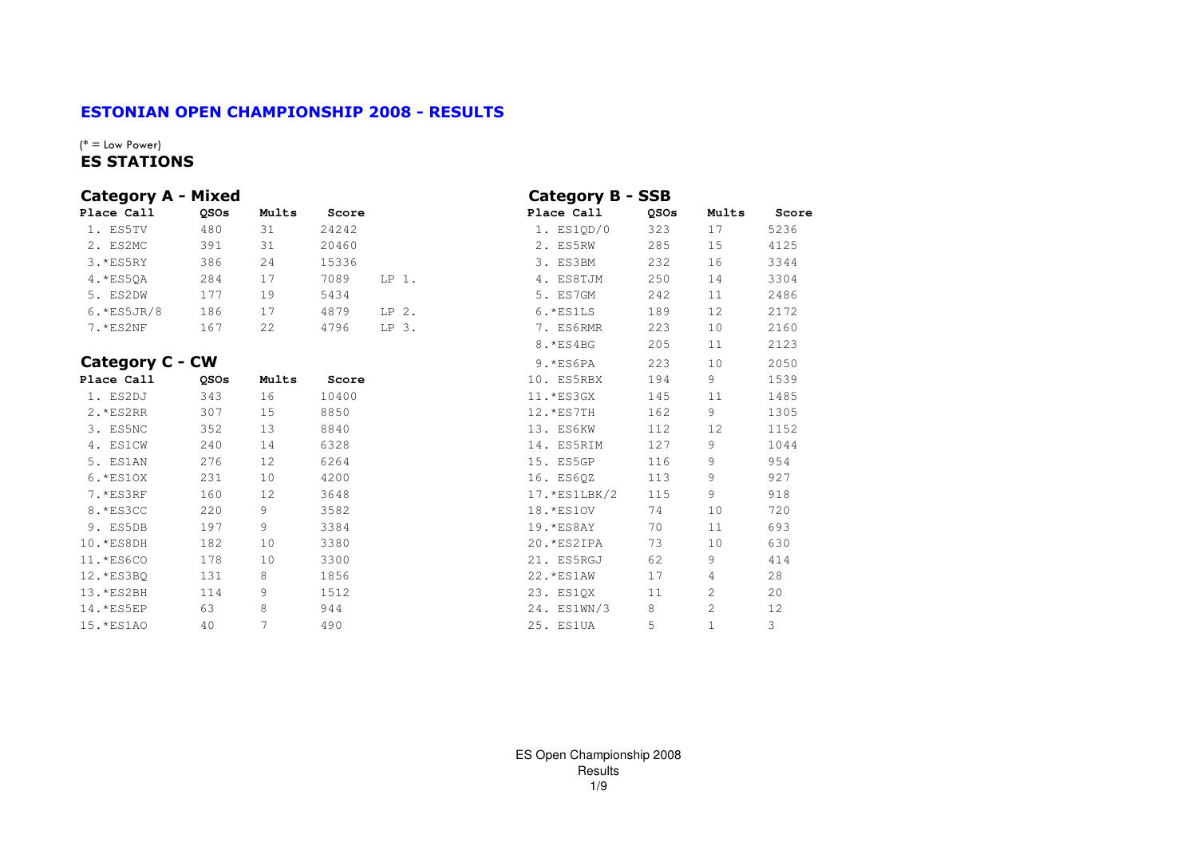## ESTONIAN OPEN CHAMPIONSHIP 2008 - RESULTS

#### $(*)$  = Low Power) ES STATIONS

| <b>Category A - Mixed</b> |             |       |       |         | <b>Category B - SSB</b> |             |       |       |
|---------------------------|-------------|-------|-------|---------|-------------------------|-------------|-------|-------|
| Place Call                | <b>OSOs</b> | Mults | Score |         | Place Call              | <b>OSOs</b> | Mults | Score |
| 1. ES5TV                  | 480         | 31    | 24242 |         | 1. ES1OD/0              | 323         | 17    | 5236  |
| 2. ES2MC                  | 391         | 31    | 20460 |         | 2. ES5RW                | 285         | 15    | 4125  |
| $3.*ES5RY$                | 386         | 24    | 15336 |         | 3. ES3BM                | 232         | 16    | 3344  |
| 4. *ES50A                 | 284         | 17    | 7089  | $LP1$ . | 4. ES8TJM               | 250         | 14    | 3304  |
| 5. ES2DW                  | 177         | 19    | 5434  |         | 5. ES7GM                | 242         | 11    | 2486  |
| $6.*ES5JR/8$              | 186         |       | 4879  | $LP$ 2. | $6.*ESILS$              | 189         | 12    | 2172  |
| $7.$ * $ES2NF$            | 167         | 2.2.  | 4796  | $LP3$ . | 7. ES6RMR               | 223         | 10    | 2160  |

#### Category C - CW

| Place Call  | <b>OSOs</b> | Mults | Score | 10. ES5RBX      | 194 | 9  | 1539 |
|-------------|-------------|-------|-------|-----------------|-----|----|------|
| 1. ES2DJ    | 343         | 16    | 10400 | $11.*ES3GX$     | 145 | 11 | 1485 |
| $2.*ES2RR$  | 307         | 15    | 8850  | $12.*ES7TH$     | 162 | 9  | 1305 |
| 3. ES5NC    | 352         | 13    | 8840  | 13. ES6KW       | 112 | 12 | 1152 |
| 4. ES1CW    | 240         | 14    | 6328  | 14. ES5RIM      | 127 | 9  | 1044 |
| 5. ES1AN    | 276         | 12    | 6264  | 15. ES5GP       | 116 | 9  | 954  |
| $6.*ES10X$  | 231         | 10    | 4200  | 16. ES60Z       | 113 | 9  | 927  |
| 7.*ES3RF    | 160         | 12    | 3648  | $17.$ *ES1LBK/2 | 115 | 9  | 918  |
| 8. *ES3CC   | 220         | 9     | 3582  | 18. * ES10V     | 74  | 10 | 720  |
| 9. ES5DB    | 197         | 9     | 3384  | $19.*ES8AY$     | 70  | 11 | 693  |
| 10.*ES8DH   | 182         | 10    | 3380  | 20. *ES2IPA     | 73  | 10 | 630  |
| 11.*ES6CO   | 178         | 10    | 3300  | 21. ES5RGJ      | 62  | 9  | 414  |
| 12.*ES3BO   | 131         | 8     | 1856  | 22. * ES1AW     | 17  | 4  | 28   |
| $13.*ES2BH$ | 114         | 9     | 1512  | 23. ES10X       | 11  | 2  | 20   |
| $14.*ES5EP$ | 63          | 8     | 944   | 24. ES1WN/3     | 8   | 2  | 12   |
| 15. *ES1AO  | 40          |       | 490   | 25. ES1UA       | 5   |    | 3    |

|         | Category B - SSB |      |                |       |
|---------|------------------|------|----------------|-------|
| e       | Place Call       | QSOs | Mults          | Score |
|         | 1. ES1OD/0       | 323  | 17             | 5236  |
|         | 2. ES5RW         | 285  | 15             | 4125  |
|         | 3. ES3BM         | 232  | 16             | 3344  |
| $LP1$ . | 4. ES8TJM        | 250  | 14             | 3304  |
|         | 5. ES7GM         | 242  | 11             | 2486  |
| $LP2$ . | 6.*ES1LS         | 189  | 12             | 2172  |
| $LP$ 3. | 7. ES6RMR        | 223  | 10             | 2160  |
|         | 8. *ES4BG        | 205  | 11             | 2123  |
|         | $9.*ES6PA$       | 223  | 10             | 2050  |
| e       | 10. ES5RBX       | 194  | 9              | 1539  |
|         | 11.*ES3GX        | 145  | 11             | 1485  |
|         | 12.*ES7TH        | 162  | 9              | 1305  |
|         | 13. ES6KW        | 112  | 12             | 1152  |
|         | 14. ES5RIM       | 127  | 9              | 1044  |
|         | 15. ES5GP        | 116  | 9              | 954   |
|         | 16. ES60Z        | 113  | 9              | 927   |
|         | $17.*ES1LBK/2$   | 115  | 9              | 918   |
|         | 18. * ES10V      | 74   | 10             | 720   |
|         | 19.*ES8AY        | 70   | 11             | 693   |
|         | 20.*ES2IPA       | 73   | 10             | 630   |
|         | 21. ES5RGJ       | 62   | 9              | 414   |
|         | 22. * ES1AW      | 17   | 4              | 28    |
|         | 23. ES1QX        | 11   | 2              | 20    |
|         | 24. ES1WN/3      | 8    | $\overline{c}$ | 12    |
|         | 25. ES1UA        | 5    | $\mathbf{1}$   | 3     |
|         |                  |      |                |       |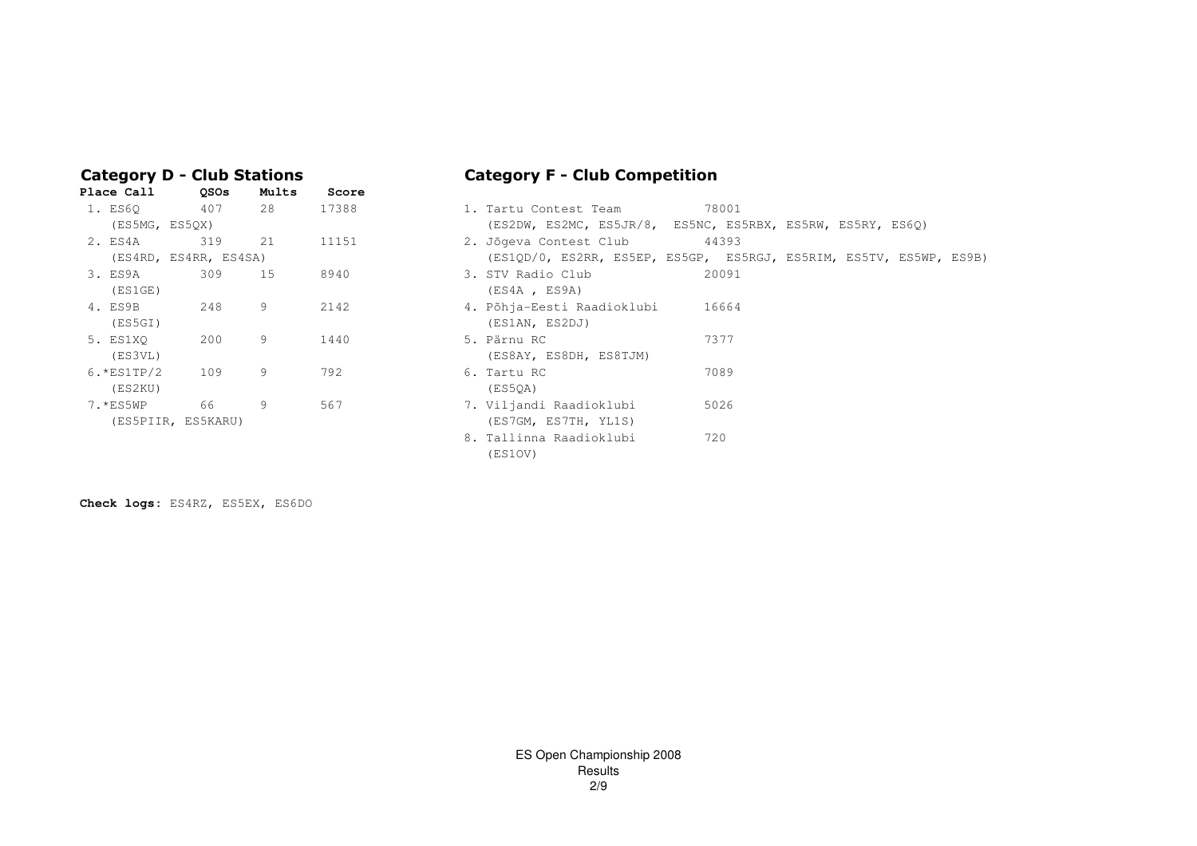|  |  |  | <b>Category D - Club Stations</b> |  |
|--|--|--|-----------------------------------|--|
|--|--|--|-----------------------------------|--|

| <b>Place Call</b> | <b>QSOs</b>           | Mults | Score |                                     |
|-------------------|-----------------------|-------|-------|-------------------------------------|
| 1. ES60           | 407                   | 28    | 17388 | 78001<br>1. Tartu Contest Team      |
| (ES5MG, ES5OX)    |                       |       |       | (ES2DW, ES2MC, ES5JR/8, ES5NC, ES   |
| 2. ES4A           | 319                   | 21    | 11151 | 44393<br>2. Jõgeva Contest Club     |
|                   | (ES4RD, ES4RR, ES4SA) |       |       | (ES1QD/0, ES2RR, ES5EP, ES5GP, ES   |
| 3. ES9A 309       |                       | 15    | 8940  | 20091<br>3. STV Radio Club          |
| (ES1GE)           |                       |       |       | (ES4A, ES9A)                        |
| 4. ES9B           | 248                   | 9     | 2142  | 4. Põhja-Eesti Raadioklubi<br>16664 |
| (ES5GI)           |                       |       |       | (ES1AN, ES2DJ)                      |
| 5. ES1XO          | 200                   | 9     | 1440  | 7377<br>5. Pärnu RC                 |
| (ES3VL)           |                       |       |       | (ES8AY, ES8DH, ES8TJM)              |
| $6.*ES1TP/2$      | 109                   | 9     | 792   | 7089<br>6. Tartu RC                 |
| (ES2KU)           |                       |       |       | (ES50A)                             |
| 7.*ES5WP          | 66                    | 9     | 567   | 5026<br>7. Viljandi Raadioklubi     |
|                   | (ES5PIIR, ES5KARU)    |       |       | (ES7GM, ES7TH, YL1S)                |
|                   |                       |       |       |                                     |

# Category F - Club Competition

| 1. ES60        | 407                   | 28 | 17388 | 1. Tartu Contest Team                                              | 78001 |  |  |
|----------------|-----------------------|----|-------|--------------------------------------------------------------------|-------|--|--|
| (ES5MG, ES5QX) |                       |    |       | (ES2DW, ES2MC, ES5JR/8, ES5NC, ES5RBX, ES5RW, ES5RY, ES6Q)         |       |  |  |
| 2. ES4A        | 319                   | 21 | 11151 | 2. Jõgeva Contest Club                                             | 44393 |  |  |
|                | (ES4RD, ES4RR, ES4SA) |    |       | (ES1QD/0, ES2RR, ES5EP, ES5GP, ES5RGJ, ES5RIM, ES5TV, ES5WP, ES9B) |       |  |  |
| 3. ES9A        | 309                   | 15 | 8940  | 3. STV Radio Club                                                  | 20091 |  |  |
| (ES1GE)        |                       |    |       | (ES4A, ES9A)                                                       |       |  |  |
| 4. ES9B        | 248                   | 9  | 2142  | 4. Põhja-Eesti Raadioklubi                                         | 16664 |  |  |
| (ES5GI)        |                       |    |       | (ES1AN, ES2DJ)                                                     |       |  |  |
| 5. ES1XO       | 200                   | 9  | 1440  | 5. Pärnu RC                                                        | 7377  |  |  |
| (ES3VL)        |                       |    |       | (ES8AY, ES8DH, ES8TJM)                                             |       |  |  |
| $6.*ES1TP/2$   | 109                   | 9  | 792   | 6. Tartu RC                                                        | 7089  |  |  |
| (ES2KU)        |                       |    |       | (ES50A)                                                            |       |  |  |
| 7.*ES5WP       | 66                    | 9  | 567   | 7. Viljandi Raadioklubi                                            | 5026  |  |  |
|                | (ES5PIIR, ES5KARU)    |    |       | (ES7GM, ES7TH, YL1S)                                               |       |  |  |
|                |                       |    |       | 8. Tallinna Raadioklubi                                            | 720   |  |  |
|                |                       |    |       | (ES1OV)                                                            |       |  |  |

**Check logs:** ES4RZ, ES5EX, ES6DO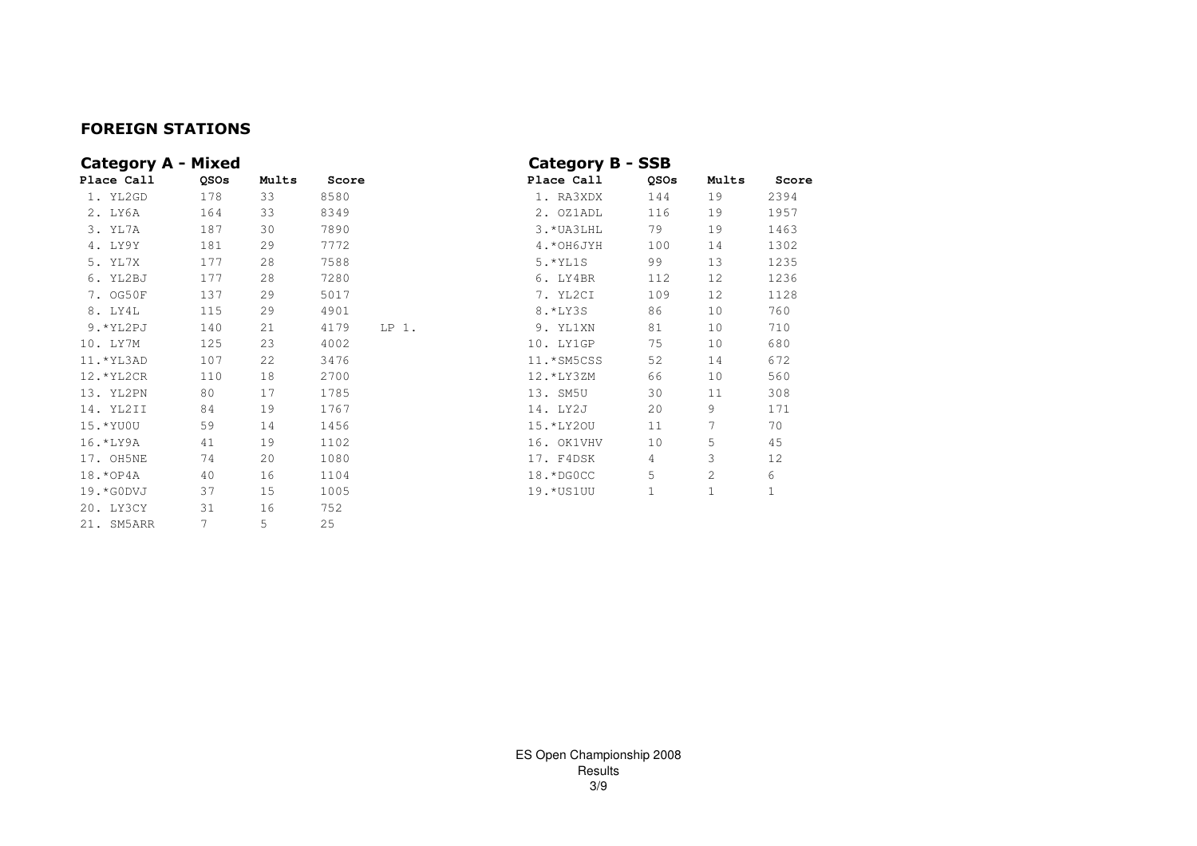## FOREIGN STATIONS

| <b>Category A - Mixed</b> |      |       |       |         | <b>Category B - SSB</b> |      |       |       |
|---------------------------|------|-------|-------|---------|-------------------------|------|-------|-------|
| Place Call                | QSOs | Mults | Score |         | Place Call              | QSOs | Mults | Score |
| 1. YL2GD                  | 178  | 33    | 8580  |         | 1. RA3XDX               | 144  | 19    | 2394  |
| 2. LY6A                   | 164  | 33    | 8349  |         | 2. OZ1ADL               | 116  | 19    | 1957  |
| 3. YL7A                   | 187  | 30    | 7890  |         | 3. * UA3LHL             | 79   | 19    | 1463  |
| 4. LY9Y                   | 181  | 29    | 7772  |         | 4. * OH6JYH             | 100  | 14    | 1302  |
| 5. YL7X                   | 177  | 28    | 7588  |         | 5. * YL1S               | 99   | 13    | 1235  |
| 6. YL2BJ                  | 177  | 28    | 7280  |         | 6. LY4BR                | 112  | 12    | 1236  |
| 7. OG50F                  | 137  | 29    | 5017  |         | 7. YL2CI                | 109  | 12    | 1128  |
| 8. LY4L                   | 115  | 29    | 4901  |         | 8. *LY3S                | 86   | 10    | 760   |
| 9.*YL2PJ                  | 140  | 21    | 4179  | $LP1$ . | 9. YL1XN                | 81   | 10    | 710   |
| 10. LY7M                  | 125  | 23    | 4002  |         | 10. LY1GP               | 75   | 10    | 680   |
| 11. * YL3AD               | 107  | 22    | 3476  |         | 11.*SM5CSS              | 52   | 14    | 672   |
| 12. * YL2CR               | 110  | 18    | 2700  |         | 12.*LY3ZM               | 66   | 10    | 560   |
| 13. YL2PN                 | 80   | 17    | 1785  |         | 13. SM5U                | 30   | 11    | 308   |
| 14. YL2II                 | 84   | 19    | 1767  |         | 14. LY2J                | 20   | 9     | 171   |
| 15. * YU0U                | 59   | 14    | 1456  |         | 15.*LY20U               | 11   | 7     | 70    |
| 16. *LY9A                 | 41   | 19    | 1102  |         | 16. OK1VHV              | 10   | 5     | 45    |
| 17. OH5NE                 | 74   | 20    | 1080  |         | 17. F4DSK               | 4    | 3     | 12    |
| 18. * OP 4A               | 40   | 16    | 1104  |         | 18.*DGOCC               | 5    | 2     | 6     |
| 19. * GODVJ               | 37   | 15    | 1005  |         | 19.* US1 UU             | 1    | 1     | 1     |
| 20. LY3CY                 | 31   | 16    | 752   |         |                         |      |       |       |
| 21. SM5ARR                | 7    | 5     | 2.5   |         |                         |      |       |       |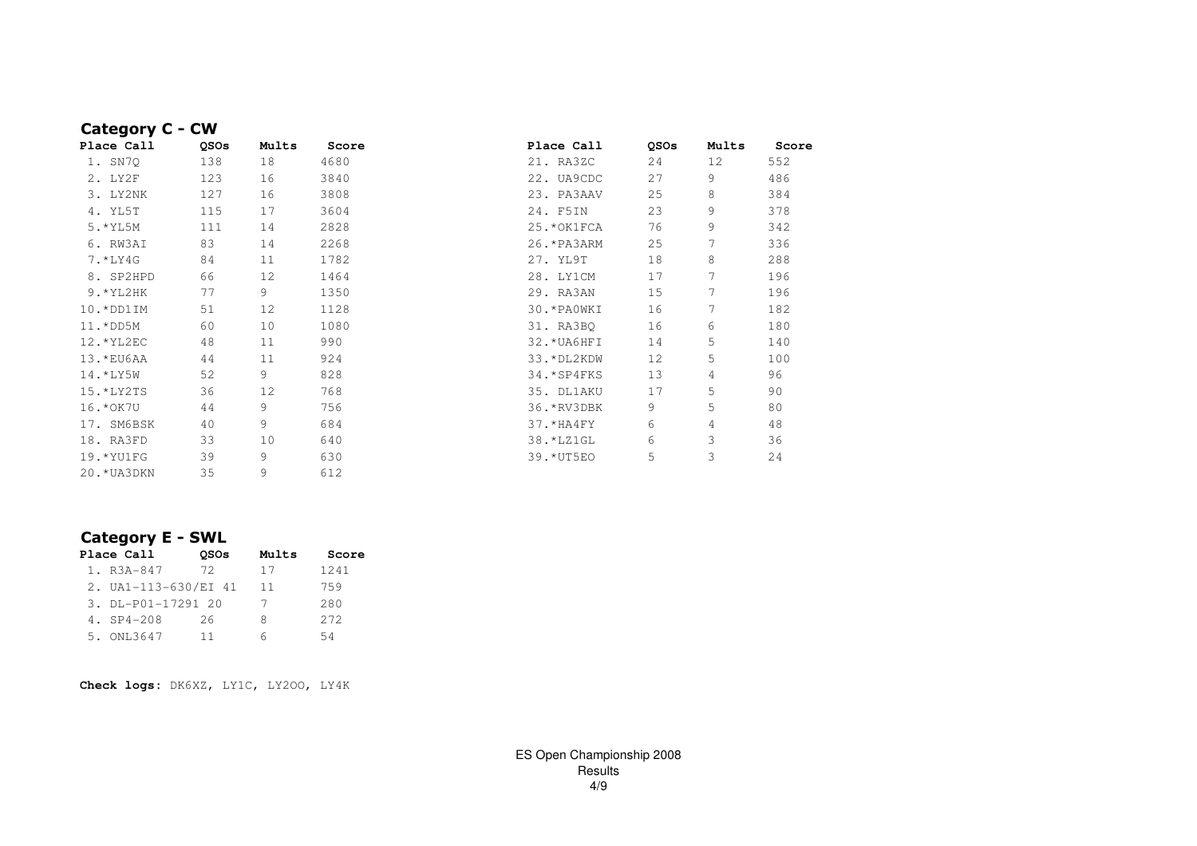| Category C - CW |             |       |       |              |             |       |       |
|-----------------|-------------|-------|-------|--------------|-------------|-------|-------|
| Place Call      | <b>OSOs</b> | Mults | Score | Place Call   | <b>OSOs</b> | Mults | Score |
| 1. SN7Q         | 138         | 18    | 4680  | 21. RA3ZC    | 24          | 12    | 552   |
| 2. LY2F         | 123         | 16    | 3840  | 22. UA9CDC   | 27          | 9     | 486   |
| 3. LY2NK        | 127         | 16    | 3808  | 23. PA3AAV   | 25          | 8     | 384   |
| 4. YL5T         | 115         | 17    | 3604  | 24. F5IN     | 23          | 9     | 378   |
| 5. * YL5M       | 111         | 14    | 2828  | 25. * OK1FCA | 76          | 9     | 342   |
| 6. RW3AI        | 83          | 14    | 2268  | 26. * PA3ARM | 25          |       | 336   |
| 7.*LY4G         | 84          | 11    | 1782  | 27. YL9T     | 18          | 8     | 288   |
| 8. SP2HPD       | 66          | 12    | 1464  | 28. LY1CM    | 17          |       | 196   |
| $9.*YL2HK$      | 77          | 9     | 1350  | 29. RA3AN    | 15          |       | 196   |
| 10.*DD1IM       | 51          | 12    | 1128  | 30. * PAOWKI | 16          |       | 182   |
| 11.*DD5M        | 60          | 10    | 1080  | 31. RA3BQ    | 16          | 6     | 180   |
| 12.*YL2EC       | 48          | 11    | 990   | 32. * UA6HFI | 14          | 5     | 140   |
| 13. *EU6AA      | 44          | 11    | 924   | 33. *DL2KDW  | 12          | 5     | 100   |
| 14.*LY5W        | 52          | 9     | 828   | 34. * SP4FKS | 13          | 4     | 96    |
| 15.*LY2TS       | 36          | 12    | 768   | 35. DL1AKU   | 17          | 5     | 90    |
| 16. * OK 7U     | 44          | 9     | 756   | 36. *RV3DBK  | 9           | 5     | 80    |
| 17. SM6BSK      | 40          | 9     | 684   | 37.*HA4FY    | 6           | 4     | 48    |
| 18. RA3FD       | 33          | 10    | 640   | 38. *LZ1GL   | 6           | 3     | 36    |
| 19.*YU1FG       | 39          | 9     | 630   | 39. * UT5EO  | 5           | 3     | 24    |
| 20. * UA3DKN    | 35          | 9     | 612   |              |             |       |       |

# Category E - SWL

| Place Call           | <b>OSOs</b> | Mults | Score |
|----------------------|-------------|-------|-------|
| 1. R3A-847           | 72          | 17    | 1241  |
| 2. UA1-113-630/EI 41 |             | 11    | 759   |
| 3. DL-P01-17291 20   |             | 7     | 280   |
| 4. SP4-208           | 26          | Я     | 2.72  |
| 5. ONL3647           | 11          | 6     | 54    |

**Check logs:** DK6XZ, LY1C, LY2OO, LY4K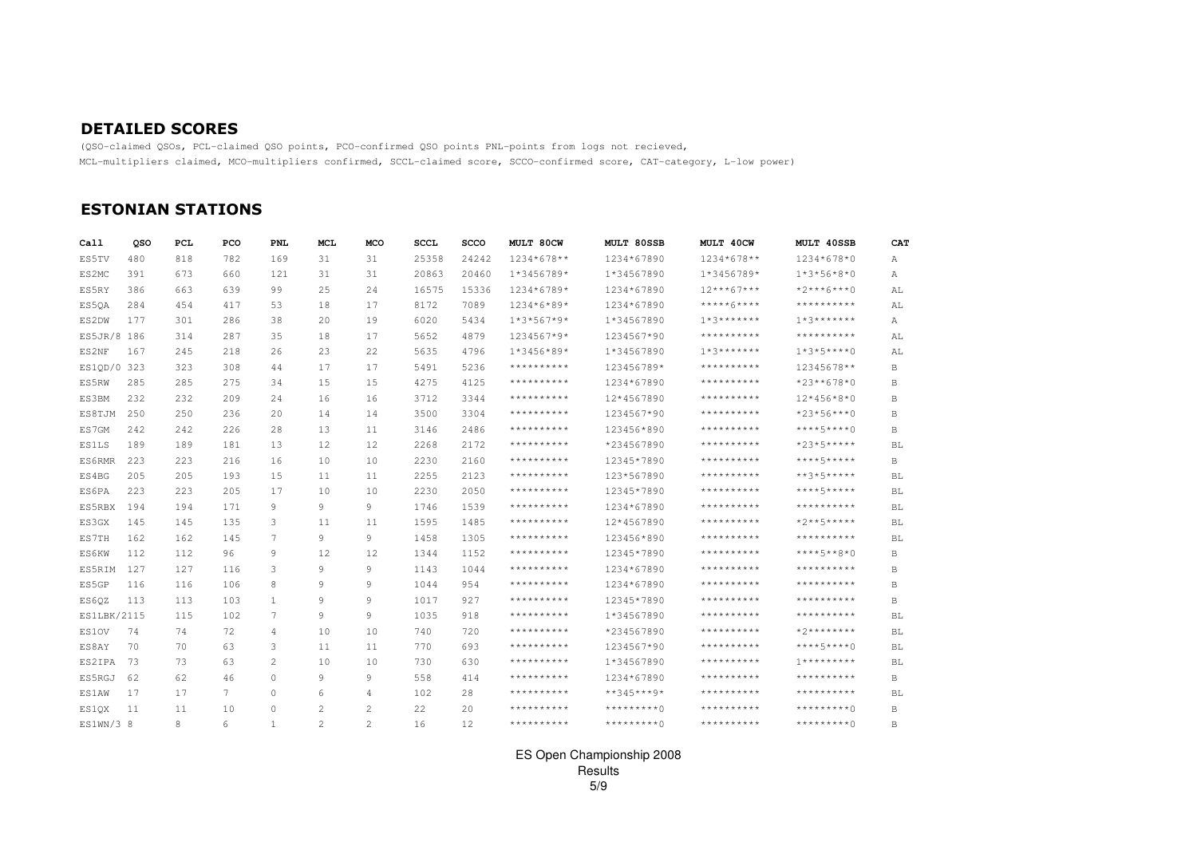### DETAILED SCORES

 (QSO-claimed QSOs, PCL-claimed QSO points, PCO-confirmed QSO points PNL-points from logs not recieved,MCL-multipliers claimed, MCO-multipliers confirmed, SCCL-claimed score, SCCO-confirmed score, CAT-category, L-low power)

## ESTONIAN STATIONS

| Call         | oso | PCL | PCO    | <b>PNL</b>     | <b>MCL</b>     | MCO          | <b>SCCL</b> | <b>SCCO</b> | MULT 80CW    | MULT 80SSB     | MULT 40CW                 | MULT 40SSB      | <b>CAT</b>   |
|--------------|-----|-----|--------|----------------|----------------|--------------|-------------|-------------|--------------|----------------|---------------------------|-----------------|--------------|
| ES5TV        | 480 | 818 | 782    | 169            | 31             | 31           | 25358       | 24242       | 1234*678**   | 1234*67890     | 1234*678**                | 1234*678*0      | Α            |
| ES2MC        | 391 | 673 | 660    | 121            | 31             | 31           | 20863       | 20460       | 1*3456789*   | 1*34567890     | $1*3456789*$              | $1*3*56*8*0$    | Α            |
| ES5RY        | 386 | 663 | 639    | 99             | 25             | 24           | 16575       | 15336       | 1234*6789*   | 1234*67890     | $12***67***$              | $*2***6***0$    | AL           |
| ES50A        | 284 | 454 | 417    | 53             | 18             | 17           | 8172        | 7089        | 1234*6*89*   | 1234*67890     | *****6****                | **********      | AL           |
| ES2DW        | 177 | 301 | 286    | 38             | 20             | 19           | 6020        | 5434        | $1*3*567*9*$ | 1*34567890     | $1*3******$               | $7*3******$     | А            |
| ES5JR/8 186  |     | 314 | 287    | 35             | 18             | 17           | 5652        | 4879        | 1234567*9*   | 1234567*90     | **********                | **********      | AL           |
| ES2NF        | 167 | 245 | 218    | 26             | 23             | 22           | 5635        | 4796        | $1*3456*89*$ | 1*34567890     | $7 * 3 * * * * * * * * *$ | $1*3*5***0$     | AL           |
| ES1QD/0 323  |     | 323 | 308    | 44             | 17             | 17           | 5491        | 5236        | **********   | 123456789*     | **********                | 12345678**      | B            |
| ES5RW        | 285 | 285 | 275    | 34             | 15             | 15           | 4275        | 4125        | **********   | 1234*67890     | **********                | $*23**678*0$    | B            |
| ES3BM        | 232 | 232 | 209    | 24             | 16             | 16           | 3712        | 3344        | **********   | 12*4567890     | **********                | $12*456*8*0$    | $\, {\bf B}$ |
| ES8TJM       | 250 | 250 | 236    | 20             | 14             | 14           | 3500        | 3304        | **********   | 1234567*90     | **********                | $*23*56***0$    | B            |
| ES7GM        | 242 | 242 | 226    | 28             | 13             | 11           | 3146        | 2486        | **********   | 123456*890     | **********                | $***+5***0$     | B            |
| <b>ES1LS</b> | 189 | 189 | 181    | 13             | 12             | 12           | 2268        | 2172        | **********   | *234567890     | **********                | $*23*5***$      | <b>BL</b>    |
| ES6RMR       | 223 | 223 | 216    | 16             | 10             | 10           | 2230        | 2160        | **********   | 12345*7890     | **********                | ****5*****      | В            |
| ES4BG        | 205 | 205 | 193    | 15             | 11             | 11           | 2255        | 2123        | **********   | 123*567890     | **********                | $***3*5*****$   | BL           |
| ES6PA        | 223 | 223 | 205    | 17             | 10             | 10           | 2230        | 2050        | **********   | 12345*7890     | **********                | ****5*****      | <b>BL</b>    |
| ES5RBX       | 194 | 194 | 171    | 9              | 9              | 9            | 1746        | 1539        | **********   | 1234*67890     | **********                | **********      | BL           |
| ES3GX        | 145 | 145 | 135    | 3              | 11             | 11           | 1595        | 1485        | **********   | 12*4567890     | **********                | $*2***5***$     | <b>BL</b>    |
| ES7TH        | 162 | 162 | 145    | 7              | 9              | 9            | 1458        | 1305        | **********   | 123456*890     | **********                | **********      | <b>BL</b>    |
| ES6KW        | 112 | 112 | 96     | 9              | 12             | 12           | 1344        | 1152        | **********   | 12345*7890     | **********                | $***+5***8*0$   | B            |
| ES5RIM       | 127 | 127 | 116    | 3              | 9              | 9            | 1143        | 1044        | **********   | 1234*67890     | **********                | **********      | B            |
| ES5GP        | 116 | 116 | 106    | 8              | 9              | 9            | 1044        | 954         | **********   | 1234*67890     | **********                | **********      | B            |
| ES60Z        | 113 | 113 | 103    | $\mathbf{1}$   | 9              | 9            | 1017        | 927         | **********   | 12345*7890     | **********                | **********      | B            |
| ES1LBK/2115  |     | 115 | 102    | 7              | 9              | 9            | 1035        | 918         | **********   | 1*34567890     | **********                | **********      | BL           |
| ES10V        | 74  | 74  | 72     | $\overline{4}$ | 10             | 10           | 740         | 720         | **********   | *234567890     | **********                | $*2*********$   | BL           |
| ES8AY        | 70  | 70  | 63     | 3              | 11             | 11           | 770         | 693         | **********   | 1234567*90     | **********                | $***+5***0$     | <b>BL</b>    |
| ES2IPA       | 73  | 73  | 63     | 2              | 10             | 10           | 730         | 630         | **********   | 1*34567890     | **********                | $7************$ | <b>BL</b>    |
| ES5RGJ       | 62  | 62  | 46     | $\Omega$       | 9              | 9            | 558         | 414         | **********   | 1234*67890     | **********                | **********      | B            |
| ES1AW        | 17  | 17  | $\tau$ | $\Omega$       | 6              | 4            | 102         | 2.8         | **********   | $***345***9*$  | **********                | **********      | BL           |
| ES10X        | 11  | 11  | 10     | $\mathbf{0}$   | $\overline{2}$ | 2            | 22          | 20          | **********   | *********^     | **********                | *********^      | B            |
| ES1WN/3 8    |     | 8   | 6      | 1              | 2              | $\mathbf{2}$ | 16          | 12          | **********   | $*********$ () | **********                | $***********$   | В            |

#### ES Open Championship 2008Results5/9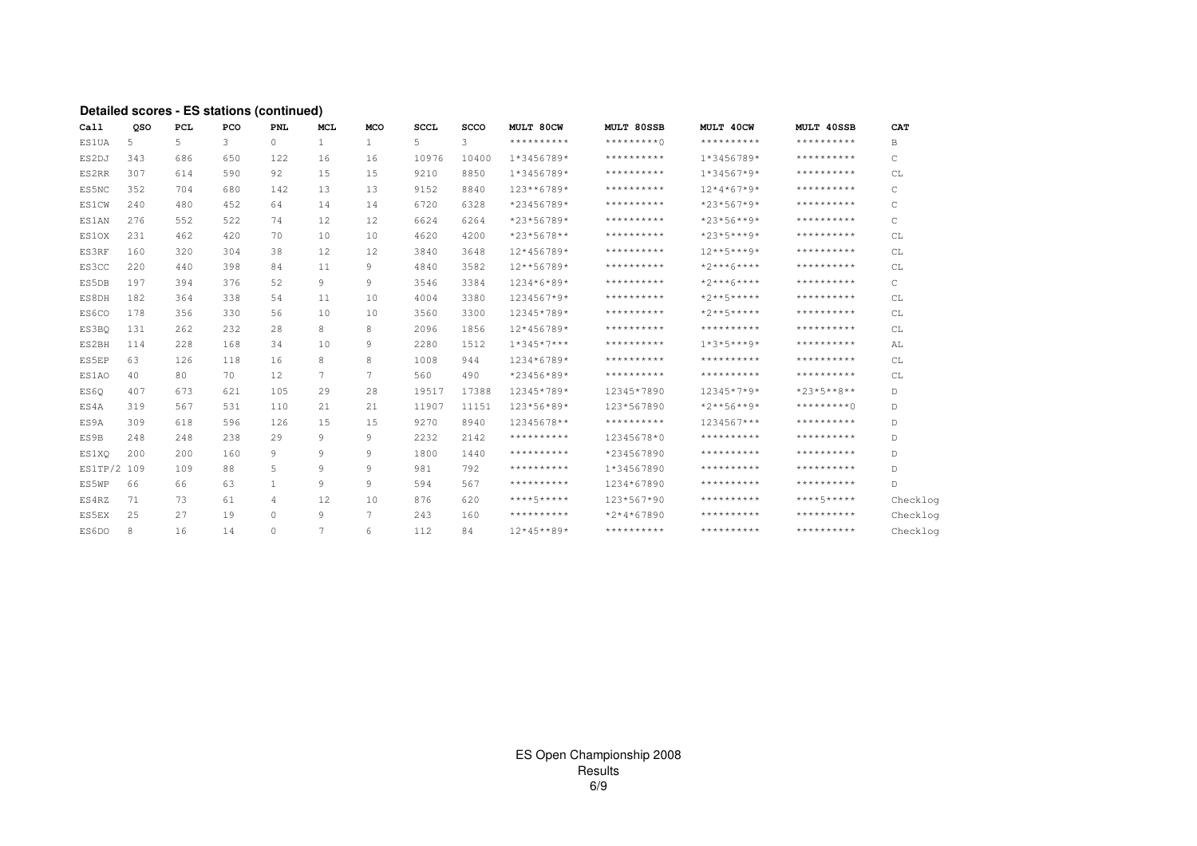#### **Detailed scores - ES stations (continued)**

| Call         | oso | PCL | PCO | PNL          | <b>MCL</b>     | <b>MCO</b>   | <b>SCCL</b> | <b>SCCO</b> | MULT 80CW    | MULT 80SSB   | MULT 40CW             | MULT 40SSB    | CAT          |
|--------------|-----|-----|-----|--------------|----------------|--------------|-------------|-------------|--------------|--------------|-----------------------|---------------|--------------|
| <b>ES1UA</b> | 5   | 5   | 3   | $\circ$      | $\mathbf{1}$   | $\mathbf{1}$ | 5           | 3           | **********   | $**********$ | **********            | **********    | B            |
| ES2DJ        | 343 | 686 | 650 | 122.         | 16             | 16           | 10976       | 10400       | 1*3456789*   | **********   | $1*3456789*$          | **********    | C            |
| ES2RR        | 307 | 614 | 590 | 92           | 15             | 15           | 9210        | 8850        | 1*3456789*   | **********   | $1*34567*9*$          | **********    | CL           |
| ES5NC        | 352 | 704 | 680 | 142          | 13             | 1.3          | 9152        | 8840        | 123**6789*   | **********   | $12*4*67*9*$          | **********    | $\mathsf{C}$ |
| <b>ES1CW</b> | 240 | 480 | 452 | 64           | 14             | 14           | 6720        | 6328        | *23456789*   | **********   | $*23*567*9*$          | **********    | $\mathsf{C}$ |
| <b>ES1AN</b> | 276 | 552 | 522 | 74           | 12             | 12           | 6624        | 6264        | *23*56789*   | **********   | $*23*56**9*$          | **********    | C            |
| ES1OX        | 231 | 462 | 420 | 70           | 10             | 10           | 4620        | 4200        | *23*5678**   | **********   | $*23*5***9*$          | **********    | CL           |
| ES3RF        | 160 | 320 | 304 | 38           | 12             | 12           | 3840        | 3648        | 12*456789*   | **********   | $12***5***9*$         | **********    | CL           |
| ES3CC        | 220 | 440 | 398 | 84           | 11             | 9            | 4840        | 3582        | 12**56789*   | **********   | $*2***6***$           | **********    | CL           |
| ES5DB        | 197 | 394 | 376 | 52           | 9              | 9            | 3546        | 3384        | 1234*6*89*   | **********   | $*2***6***$           | **********    | C            |
| ES8DH        | 182 | 364 | 338 | 54           | 11             | 10           | 4004        | 3380        | 1234567*9*   | **********   | $*2**5***$            | **********    | CL           |
| ES6CO        | 178 | 356 | 330 | 56           | 10             | 10           | 3560        | 3300        | 12345*789*   | **********   | $*2**5***$            | **********    | CL           |
| ES3BO        | 131 | 262 | 232 | 28           | 8              | 8            | 2096        | 1856        | 12*456789*   | **********   | **********            | **********    | CL           |
| ES2BH        | 114 | 228 | 168 | 34           | 10             | 9            | 2280        | 1512        | $1*345*7***$ | **********   | $1 * 3 * 5 * * * 9 *$ | **********    | AL           |
| ES5EP        | 63  | 126 | 118 | 16           | 8              | 8            | 1008        | 944         | 1234*6789*   | **********   | **********            | **********    | CL           |
| ES1AO        | 40  | 80  | 70  | 12           | $\tau$         | 7            | 560         | 490         | *23456*89*   | **********   | **********            | **********    | CL           |
| ES60         | 407 | 673 | 621 | 105          | 29             | 28           | 19517       | 17388       | 12345*789*   | 12345*7890   | $12345*7*9*$          | $*23*5***8**$ | D            |
| ES4A         | 319 | 567 | 531 | 110          | 21             | 21           | 11907       | 11151       | 123*56*89*   | 123*567890   | $*2***56***9*$        | *********()   | D            |
| ES9A         | 309 | 618 | 596 | 126          | 15             | 15           | 9270        | 8940        | 12345678**   | **********   | 1234567***            | **********    | D            |
| ES9B         | 248 | 248 | 238 | 29           | 9              | 9            | 2232        | 2142        | **********   | 12345678*0   | **********            | **********    | D            |
| ES1XO        | 200 | 200 | 160 | 9            | 9              | 9            | 1800        | 1440        | **********   | *234567890   | **********            | **********    | D.           |
| ES1TP/2 109  |     | 109 | 88  | 5            | 9              | 9            | 981         | 792         | **********   | 1*34567890   | **********            | **********    | $\mathbb D$  |
| ES5WP        | 66  | 66  | 63  | $\mathbf{1}$ | 9              | 9            | 594         | 567         | **********   | 1234*67890   | **********            | **********    | D            |
| ES4RZ        | 71  | 73  | 61  | 4            | 12             | 10           | 876         | 620         | ****5*****   | 123*567*90   | **********            | ****5*****    | Checklog     |
| ES5EX        | 25  | 27  | 19  | $\Omega$     | 9              | 7            | 243         | 160         | **********   | $*2*4*67890$ | **********            | **********    | Checklog     |
| ES6DO        | 8   | 16  | 14  | $\Omega$     | $\overline{7}$ | 6            | 112         | 84          | $12*45**89*$ | **********   | **********            | **********    | Checklog     |
|              |     |     |     |              |                |              |             |             |              |              |                       |               |              |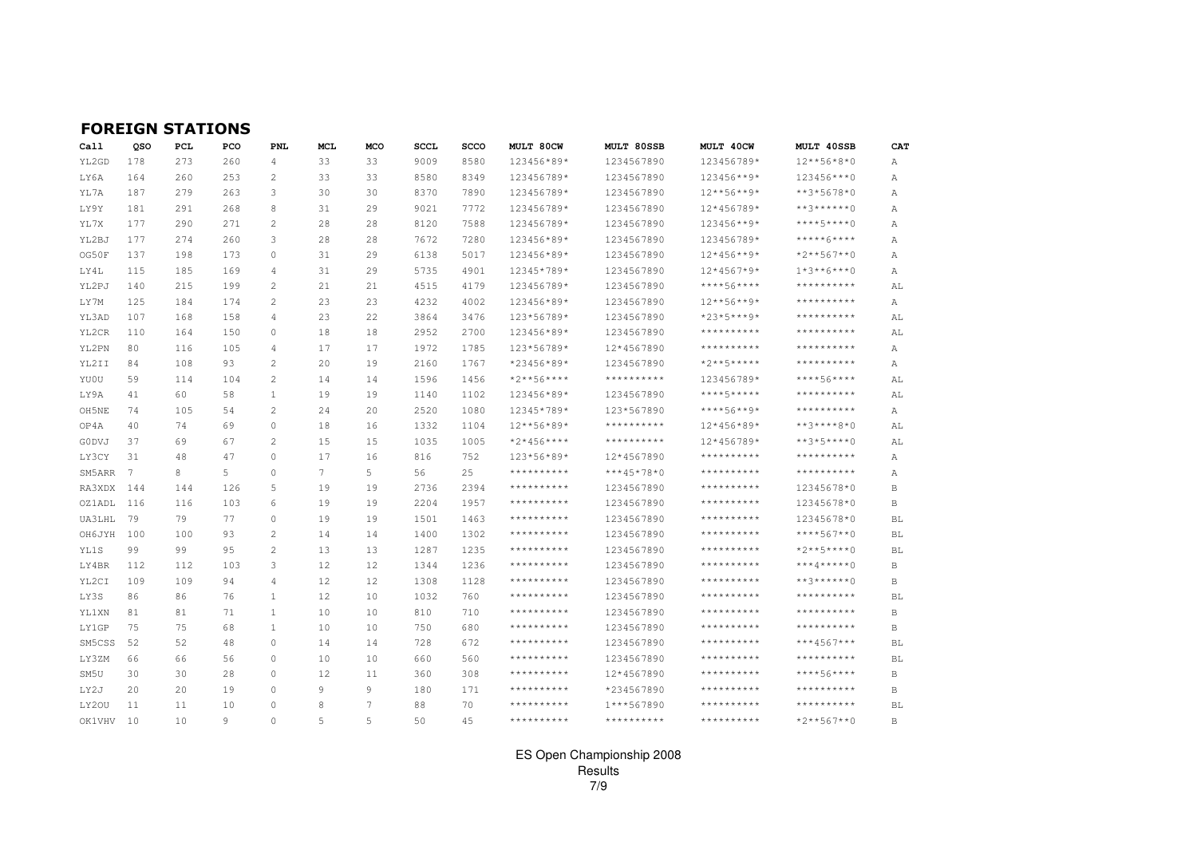|  |  |  | <b>FOREIGN STATIONS</b> |  |  |  |
|--|--|--|-------------------------|--|--|--|
|--|--|--|-------------------------|--|--|--|

| Call          | QSO | PCL | PCO | <b>PNL</b>     | MCL             | MCO | <b>SCCL</b> | <b>SCCO</b> | <b>MULT 80CW</b> | MULT 80SSB                                                                                                                                      | MULT 40CW           | MULT 40SSB          | CAT          |
|---------------|-----|-----|-----|----------------|-----------------|-----|-------------|-------------|------------------|-------------------------------------------------------------------------------------------------------------------------------------------------|---------------------|---------------------|--------------|
| YL2GD         | 178 | 273 | 260 | $\overline{4}$ | 33              | 33  | 9009        | 8580        | 123456*89*       | 1234567890                                                                                                                                      | 123456789*          | $12***56*8*0$       | Α            |
| LY6A          | 164 | 260 | 253 | $\mathbf{2}$   | 33              | 33  | 8580        | 8349        | 123456789*       | 1234567890                                                                                                                                      | 123456**9*          | 123456 *** 0        | Α            |
| YL7A          | 187 | 279 | 263 | 3              | 30              | 30  | 8370        | 7890        | 123456789*       | 1234567890                                                                                                                                      | $12***56***9*$      | $***3*5678*0$       | Α            |
| LY9Y          | 181 | 291 | 268 | 8              | 31              | 29  | 9021        | 7772        | 123456789*       | 1234567890                                                                                                                                      | 12*456789*          | **3******0          | А            |
| YL7X          | 177 | 290 | 271 | $\overline{c}$ | 28              | 28  | 8120        | 7588        | 123456789*       | 1234567890                                                                                                                                      | 123456**9*          | ****5****0          | Α            |
| YL2BJ         | 177 | 274 | 260 | 3              | 28              | 28  | 7672        | 7280        | 123456*89*       | 1234567890                                                                                                                                      | 123456789*          | *****6****          | А            |
| OG50F         | 137 | 198 | 173 | $\circ$        | 31              | 29  | 6138        | 5017        | 123456*89*       | 1234567890                                                                                                                                      | $12*456**9*$        | *2**567**0          | Α            |
| LY4L          | 115 | 185 | 169 | $\overline{4}$ | 31              | 29  | 5735        | 4901        | 12345*789*       | 1234567890                                                                                                                                      | $12*4567*9*$        | $1*3**6***0$        | Α            |
| YL2PJ         | 140 | 215 | 199 | $\overline{c}$ | 21              | 21  | 4515        | 4179        | 123456789*       | 1234567890                                                                                                                                      | ****56****          | **********          | AL           |
| LY7M          | 125 | 184 | 174 | $\overline{c}$ | 23              | 23  | 4232        | 4002        | 123456*89*       | 1234567890                                                                                                                                      | $12***56***9*$      | * * * * * * * * * * | Α            |
| YL3AD         | 107 | 168 | 158 | 4              | 23              | 22  | 3864        | 3476        | 123*56789*       | 1234567890                                                                                                                                      | *23*5***9*          | * * * * * * * * * * | AL           |
| YL2CR         | 110 | 164 | 150 | $\Omega$       | 18              | 18  | 2952        | 2700        | 123456*89*       | 1234567890                                                                                                                                      | * * * * * * * * * * | **********          | AL           |
| YL2PN         | 80  | 116 | 105 | 4              | 17              | 17  | 1972        | 1785        | 123*56789*       | 12*4567890                                                                                                                                      | * * * * * * * * * * | * * * * * * * * * * | Α            |
| YL2II         | 84  | 108 | 93  | $\overline{c}$ | 20              | 19  | 2160        | 1767        | *23456*89*       | 1234567890                                                                                                                                      | $*2***5***$         | **********          | Α            |
| YU0U          | 59  | 114 | 104 | $\overline{c}$ | 14              | 14  | 1596        | 1456        | $*2***56****$    | $***************$                                                                                                                               | 123456789*          | ****56****          | AL           |
| LY9A          | 41  | 60  | 58  | $\mathbf{1}$   | 19              | 19  | 1140        | 1102        | 123456*89*       | 1234567890                                                                                                                                      | ****5*****          | * * * * * * * * * * | AL           |
| OH5NE         | 74  | 105 | 54  | $\overline{c}$ | 24              | 20  | 2520        | 1080        | 12345*789*       | 123*567890                                                                                                                                      | ****56**9*          | **********          | А            |
| OP4A          | 40  | 74  | 69  | $\circ$        | 18              | 16  | 1332        | 1104        | 12**56*89*       | **********                                                                                                                                      | 12*456*89*          | **3****8*0          | AL           |
| <b>GODVJ</b>  | 37  | 69  | 67  | $\overline{c}$ | 15              | 15  | 1035        | 1005        | $*2*456***$      | **********                                                                                                                                      | 12*456789*          | **3*5****0          | AL           |
| LY3CY         | 31  | 48  | 47  | $\circ$        | 17              | 16  | 816         | 752         | 123*56*89*       | 12*4567890                                                                                                                                      | * * * * * * * * * * | * * * * * * * * * * | Α            |
| SM5ARR        | 7   | 8   | 5   | $\Omega$       | $7\overline{ }$ | 5   | 56          | 25          | **********       | $***45*78*0$                                                                                                                                    | **********          | **********          | Α            |
| RA3XDX        | 144 | 144 | 126 | 5              | 19              | 19  | 2736        | 2394        | **********       | 1234567890                                                                                                                                      | * * * * * * * * * * | 12345678*0          | В            |
| <b>OZ1ADL</b> | 116 | 116 | 103 | 6              | 19              | 19  | 2204        | 1957        | **********       | 1234567890                                                                                                                                      | **********          | 12345678*0          | $\, {\bf B}$ |
| UA3LHL        | 79  | 79  | 77  | $\Omega$       | 19              | 19  | 1501        | 1463        | **********       | 1234567890                                                                                                                                      | * * * * * * * * * * | 12345678*0          | BL           |
| OH6JYH        | 100 | 100 | 93  | 2              | 14              | 14  | 1400        | 1302        | **********       | 1234567890                                                                                                                                      | **********          | $****567**0$        | BL           |
| YL1S          | 99  | 99  | 95  | $\overline{c}$ | 13              | 13  | 1287        | 1235        | **********       | 1234567890                                                                                                                                      | * * * * * * * * * * | $*2***5***0$        | BL           |
| LY4BR         | 112 | 112 | 103 | 3              | 12              | 12  | 1344        | 1236        | **********       | 1234567890                                                                                                                                      | * * * * * * * * * * | $***4*****0$        | В            |
| YL2CI         | 109 | 109 | 94  | $\overline{4}$ | 12              | 12  | 1308        | 1128        | **********       | 1234567890                                                                                                                                      | **********          | $***3******()$      | B            |
| LY3S          | 86  | 86  | 76  | 1              | 12              | 10  | 1032        | 760         | **********       | 1234567890                                                                                                                                      | **********          | **********          | BL           |
| YL1XN         | 81  | 81  | 71  | $\mathbf{1}$   | 10              | 10  | 810         | 710         | **********       | 1234567890                                                                                                                                      | **********          | **********          | B            |
| <b>LY1GP</b>  | 75  | 75  | 68  | 1              | 10              | 10  | 750         | 680         | **********       | 1234567890                                                                                                                                      | **********          | $***************$   | B            |
| SM5CSS        | 52  | 52  | 48  | $\circ$        | 14              | 14  | 728         | 672         | **********       | 1234567890                                                                                                                                      | **********          | ***4567***          | BL           |
| LY3ZM         | 66  | 66  | 56  | $\Omega$       | 10              | 10  | 660         | 560         | **********       | 1234567890                                                                                                                                      | **********          | **********          | BL           |
| SM5U          | 30  | 30  | 28  | $\circ$        | 12              | 11  | 360         | 308         | **********       | 12*4567890                                                                                                                                      | **********          | ****56****          | B            |
| LY2J          | 20  | 20  | 19  | $\Omega$       | 9               | 9   | 180         | 171         | **********       | *234567890                                                                                                                                      | **********          | **********          | B            |
| LY20U         | 11  | 11  | 10  | $\circ$        | 8               | 7   | 88          | 70          | **********       | 1***567890                                                                                                                                      | **********          | * * * * * * * * * * | BL           |
| OK1VHV        | 10  | 10  | 9   | $\Omega$       | 5               | 5   | 50          | 4.5         | **********       | $\pmb{\star}\,\pmb{\star}\,\pmb{\star}\,\pmb{\star}\,\pmb{\star}\,\pmb{\star}\,\pmb{\star}\,\pmb{\star}\,\pmb{\star}\,\pmb{\star}\,\pmb{\star}$ | **********          | $*2**567**0$        | B            |

ES Open Championship 2008 Results 7/9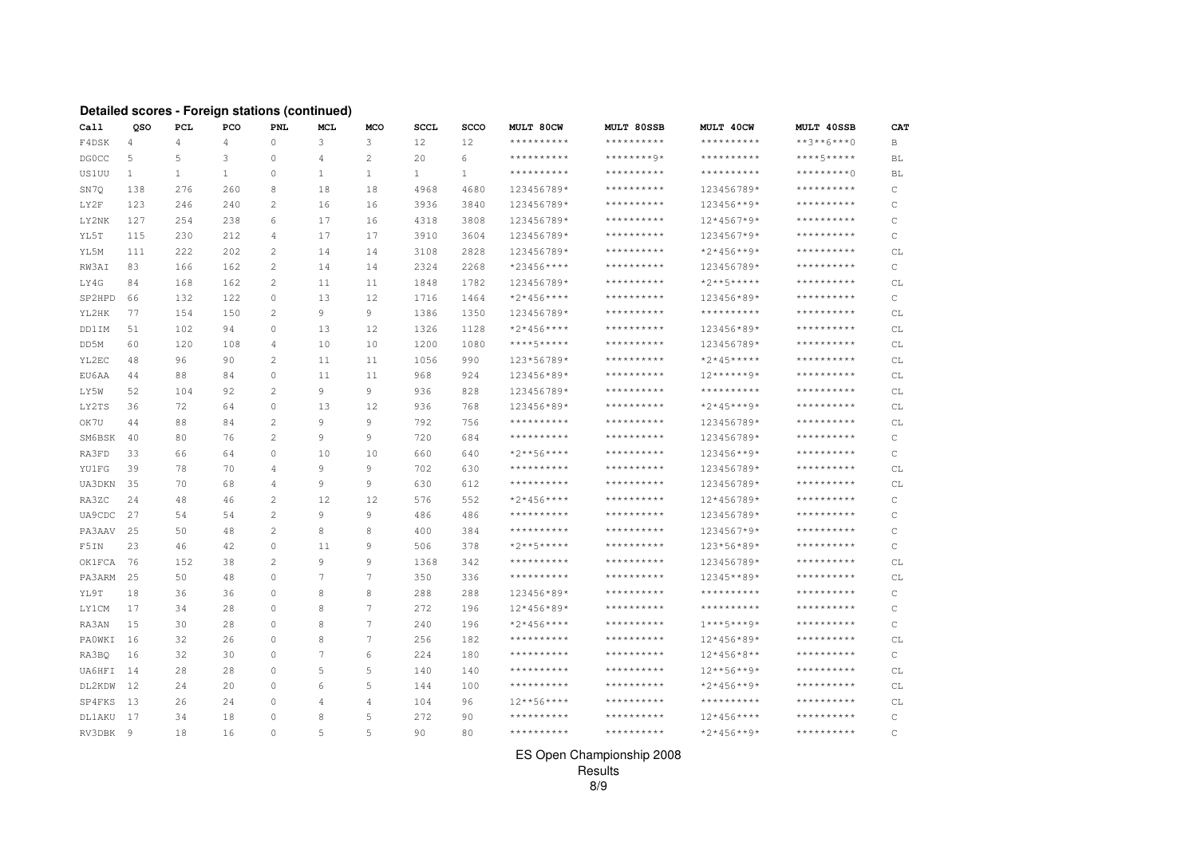#### **Detailed scores - Foreign stations (continued)**

| Call          | QSO          | PCL            | PCO          | PNL            | <b>MCL</b> | <b>MCO</b>   | <b>SCCL</b>  | SCCO         | MULT 80CW         | MULT 80SSB        | MULT 40CW           | MULT 40SSB          | CAT          |
|---------------|--------------|----------------|--------------|----------------|------------|--------------|--------------|--------------|-------------------|-------------------|---------------------|---------------------|--------------|
| F4DSK         | 4            | $\overline{4}$ | 4            | $\circ$        | 3          | 3            | 12           | 12           | **********        | **********        | **********          | $***3***6***0$      | B            |
| <b>DGOCC</b>  | 5            | 5              | 3            | $\circ$        | 4          | $\mathbf{2}$ | 20           | 6            | **********        | ********9*        | **********          | ****5*****          | BL           |
| US1UU         | $\mathbf{1}$ | $\mathbf{1}$   | $\mathbf{1}$ | $\circ$        | 1          | $\mathbf{1}$ | $\mathbf{1}$ | $\mathbf{1}$ | **********        | $***************$ | **********          | *********()         | BL           |
| SN7Q          | 138          | 276            | 260          | 8              | 18         | 18           | 4968         | 4680         | 123456789*        | **********        | 123456789*          | **********          | C            |
| LY2F          | 123          | 246            | 240          | 2              | 16         | 16           | 3936         | 3840         | 123456789*        | **********        | 123456**9*          | **********          | C            |
| LY2NK         | 127          | 254            | 238          | 6              | 17         | 16           | 4318         | 3808         | 123456789*        | **********        | 12*4567*9*          | **********          | C            |
| YL5T          | 115          | 230            | 212          | 4              | 17         | 17           | 3910         | 3604         | 123456789*        | **********        | 1234567*9*          | **********          | C            |
| YL5M          | 111          | 222            | 202          | $\mathbf{2}$   | 14         | 14           | 3108         | 2828         | 123456789*        | **********        | $*2*456**9*$        | **********          | СL           |
| RW3AI         | 83           | 166            | 162          | $\overline{c}$ | 14         | 14           | 2324         | 2268         | *23456****        | **********        | 123456789*          | **********          | C            |
| LY4G          | 84           | 168            | 162          | 2              | 11         | 11           | 1848         | 1782         | 123456789*        | **********        | $*2***5***$         | **********          | СL           |
| SP2HPD        | 66           | 132            | 122          | $\circ$        | 13         | 12           | 1716         | 1464         | $*2*456***$       | **********        | 123456*89*          | **********          | C            |
| YL2HK         | 77           | 154            | 150          | 2              | 9          | 9            | 1386         | 1350         | 123456789*        | **********        | $************$      | **********          | CL           |
| DD1IM         | 51           | 102            | 94           | $\circ$        | 13         | 12           | 1326         | 1128         | $*2*456***$       | $*************$   | 123456*89*          | **********          | CL           |
| DD5M          | 60           | 120            | 108          | 4              | 10         | 10           | 1200         | 1080         | ****5*****        | $*************$   | 123456789*          | **********          | CL           |
| YL2EC         | 48           | 96             | 90           | $\overline{c}$ | 11         | 11           | 1056         | 990          | 123*56789*        | $***************$ | $*2*45***$          | $***************$   | CL           |
| EU6AA         | 44           | 88             | 84           | $\circ$        | 11         | 11           | 968          | 924          | 123456*89*        | $*************$   | $12******9*$        | * * * * * * * * * * | CL           |
| LY5W          | 52           | 104            | 92           | $\overline{c}$ | 9          | 9            | 936          | 828          | 123456789*        | **********        | * * * * * * * * * * | * * * * * * * * * * | CL           |
| LY2TS         | 36           | 72             | 64           | $\mathbf{0}$   | 13         | 12           | 936          | 768          | 123456*89*        | **********        | $*2*45***9*$        | **********          | СL           |
| OK7U          | 44           | 88             | 84           | $\overline{c}$ | 9          | 9            | 792          | 756          | **********        | **********        | 123456789*          | **********          | CL           |
| SM6BSK        | 40           | 80             | 76           | $\overline{c}$ | 9          | 9            | 720          | 684          | **********        | **********        | 123456789*          | **********          | C            |
| RA3FD         | 33           | 66             | 64           | $\circ$        | 10         | 10           | 660          | 640          | $*2***56****$     | **********        | 123456**9*          | **********          | $\mathsf{C}$ |
| <b>YU1FG</b>  | 39           | 78             | 70           | 4              | 9          | 9            | 702          | 630          | **********        | **********        | 123456789*          | **********          | CL           |
| UA3DKN        | 35           | 70             | 68           | 4              | 9          | 9            | 630          | 612          | $***************$ | $*************$   | 123456789*          | **********          | CL           |
| RA3ZC         | 24           | 48             | 46           | 2              | 12         | 12           | 576          | 552          | $*2*456***$       | $*************$   | 12*456789*          | **********          | C            |
| UA9CDC        | 27           | 54             | 54           | $\mathbf{2}$   | 9          | 9            | 486          | 486          | **********        | $************$    | 123456789*          | **********          | $\mathsf C$  |
| PA3AAV        | 25           | 50             | 48           | 2              | 8          | 8            | 400          | 384          | **********        | **********        | 1234567*9*          | **********          | C            |
| F5IN          | 23           | 46             | 42           | 0              | 11         | 9            | 506          | 378          | $*2***5****$      | $*************$   | 123*56*89*          | **********          | $\mathsf{C}$ |
| <b>OK1FCA</b> | 76           | 152            | 38           | 2              | 9          | 9            | 1368         | 342          | **********        | $*************$   | 123456789*          | **********          | CL           |
| PA3ARM        | 25           | 50             | 48           | $\circ$        | $\tau$     | 7            | 350          | 336          | $***************$ | $*************$   | 12345**89*          | **********          | CL           |
| YL9T          | 18           | 36             | 36           | $\circ$        | 8          | 8            | 288          | 288          | 123456*89*        | **********        | $***************$   | **********          | C            |
| LY1CM         | 17           | 34             | 28           | $\circ$        | 8          | 7            | 272          | 196          | 12*456*89*        | **********        | $*************$     | **********          | $\mathsf{C}$ |
| RA3AN         | 15           | 30             | 28           | $\mathbf{0}$   | 8          | 7            | 240          | 196          | $*2*456***$       | **********        | $1***5***9*$        | **********          | C            |
| PAOWKI        | 16           | 32             | 26           | $\circ$        | 8          | 7            | 256          | 182          | **********        | **********        | 12*456*89*          | **********          | СL           |
| RA3BO         | 16           | 32             | 30           | $\mathbf{0}$   | 7          | 6            | 224          | 180          | **********        | **********        | $12*456*8**$        | * * * * * * * * * * | C            |
| UA6HFI        | 14           | 28             | 28           | $\mathbf{0}$   | 5          | 5            | 140          | 140          | **********        | **********        | $12***56***9*$      | **********          | СL           |
| DL2KDW        | 12           | 24             | 20           | $\Omega$       | 6          | 5            | 144          | 100          | **********        | **********        | $*2*456**9*$        | **********          | СL           |
| SP4FKS        | 13           | 26             | 24           | 0              | 4          | 4            | 104          | 96           | $12***56***$      | **********        | **********          | **********          | СL           |
| DL1AKU        | 17           | 34             | 18           | $\circ$        | 8          | 5            | 272          | 90           | **********        | **********        | $12*456***$         | **********          | C            |
| RV3DBK        | 9            | 18             | 16           | $\Omega$       | 5          | 5            | 90           | 80           | **********        | $***************$ | $*2*456**9*$        | **********          | $\mathsf{C}$ |

#### ES Open Championship 2008

Results 8/9